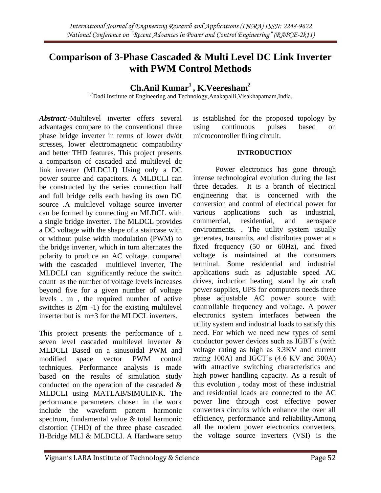# **Comparison of 3-Phase Cascaded & Multi Level DC Link Inverter with PWM Control Methods**

## **Ch.Anil Kumar<sup>1</sup> , K.Veeresham<sup>2</sup>**

<sup>1,2</sup>Dadi Institute of Engineering and Technology, Anakapalli, Visakhapatnam, India.

*Abstract:-*Multilevel inverter offers several advantages compare to the conventional three phase bridge inverter in terms of lower dv/dt stresses, lower electromagnetic compatibility and better THD features. This project presents a comparison of cascaded and multilevel dc link inverter (MLDCLI) Using only a DC power source and capacitors. A MLDCLI can be constructed by the series connection half and full bridge cells each having its own DC source .A multilevel voltage source inverter can be formed by connecting an MLDCL with a single bridge inverter. The MLDCL provides a DC voltage with the shape of a staircase with or without pulse width modulation (PWM) to the bridge inverter, which in turn alternates the polarity to produce an AC voltage. compared with the cascaded multilevel inverter, The MLDCLI can significantly reduce the switch count as the number of voltage levels increases beyond five for a given number of voltage levels , m , the required number of active switches is  $2(m - 1)$  for the existing multilevel inverter but is  $m+3$  for the MLDCL inverters.

This project presents the performance of a seven level cascaded multilevel inverter & MLDCLI Based on a sinusoidal PWM and modified space vector PWM control techniques. Performance analysis is made based on the results of simulation study conducted on the operation of the cascaded & MLDCLI using MATLAB/SIMULINK. The performance parameters chosen in the work include the waveform pattern harmonic spectrum, fundamental value & total harmonic distortion (THD) of the three phase cascaded H-Bridge MLI & MLDCLI. A Hardware setup is established for the proposed topology by using continuous pulses based on microcontroller firing circuit.

## **INTRODUCTION**

Power electronics has gone through intense technological evolution during the last three decades. It is a branch of electrical engineering that is concerned with the conversion and control of electrical power for various applications such as industrial, commercial, residential, and aerospace environments. . The utility system usually generates, transmits, and distributes power at a fixed frequency (50 or 60Hz), and fixed voltage is maintained at the consumers terminal. Some residential and industrial applications such as adjustable speed AC drives, induction heating, stand by air craft power supplies, UPS for computers needs three phase adjustable AC power source with controllable frequency and voltage. A power electronics system interfaces between the utility system and industrial loads to satisfy this need. For which we need new types of semi conductor power devices such as IGBT's (with voltage rating as high as 3.3KV and current rating 100A) and IGCT's (4.6 KV and 300A) with attractive switching characteristics and high power handling capacity. As a result of this evolution , today most of these industrial and residential loads are connected to the AC power line through cost effective power converters circuits which enhance the over all efficiency, performance and reliability.Among all the modern power electronics converters, the voltage source inverters (VSI) is the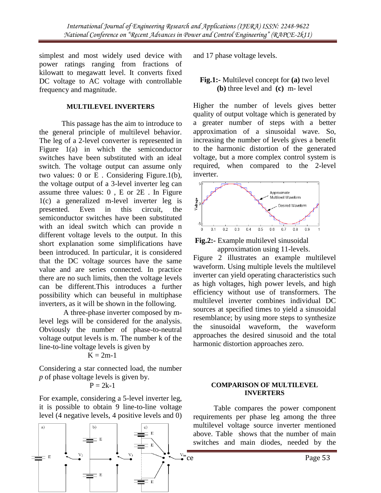simplest and most widely used device with power ratings ranging from fractions of kilowatt to megawatt level. It converts fixed DC voltage to AC voltage with controllable frequency and magnitude.

#### **MULTILEVEL INVERTERS**

This passage has the aim to introduce to the general principle of multilevel behavior. The leg of a 2-level converter is represented in Figure 1(a) in which the semiconductor switches have been substituted with an ideal switch. The voltage output can assume only two values: 0 or E . Considering Figure.1(b), the voltage output of a 3-level inverter leg can assume three values: 0 , E or 2E . In Figure 1(c) a generalized m-level inverter leg is presented. Even in this circuit, the semiconductor switches have been substituted with an ideal switch which can provide n different voltage levels to the output. In this short explanation some simplifications have been introduced. In particular, it is considered that the DC voltage sources have the same value and are series connected. In practice there are no such limits, then the voltage levels can be different.This introduces a further possibility which can beuseful in multiphase inverters, as it will be shown in the following.

 A three-phase inverter composed by mlevel legs will be considered for the analysis. Obviously the number of phase-to-neutral voltage output levels is m. The number k of the line-to-line voltage levels is given by

$$
K=2m-1
$$

Considering a star connected load, the number *p* of phase voltage levels is given by.

$$
P=2k-1
$$

For example, considering a 5-level inverter leg, it is possible to obtain 9 line-to-line voltage level (4 negative levels, 4 positive levels and 0)



and 17 phase voltage levels.

## **Fig.1:-** Multilevel concept for **(a)** two level **(b)** three level and **(c)** m- level

Higher the number of levels gives better quality of output voltage which is generated by a greater number of steps with a better approximation of a sinusoidal wave. So, increasing the number of levels gives a benefit to the harmonic distortion of the generated voltage, but a more complex control system is required, when compared to the 2-level inverter.





Figure 2 illustrates an example multilevel waveform. Using multiple levels the multilevel inverter can yield operating characteristics such as high voltages, high power levels, and high efficiency without use of transformers. The multilevel inverter combines individual DC sources at specified times to yield a sinusoidal resemblance; by using more steps to synthesize the sinusoidal waveform, the waveform approaches the desired sinusoid and the total harmonic distortion approaches zero.

#### **COMPARISON OF MULTILEVEL INVERTERS**

 Table compares the power component requirements per phase leg among the three multilevel voltage source inverter mentioned above. Table shows that the number of main switches and main diodes, needed by the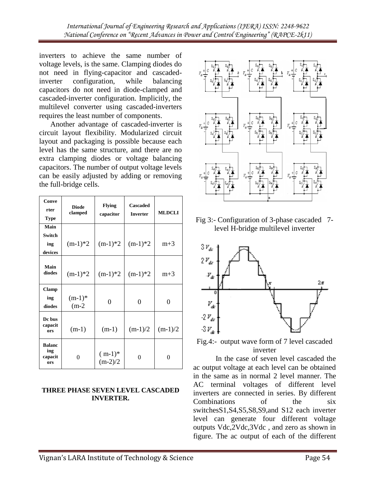inverters to achieve the same number of voltage levels, is the same. Clamping diodes do not need in flying-capacitor and cascadedinverter configuration, while balancing capacitors do not need in diode-clamped and cascaded-inverter configuration. Implicitly, the multilevel converter using cascaded-inverters requires the least number of components.

 Another advantage of cascaded-inverter is circuit layout flexibility. Modularized circuit layout and packaging is possible because each level has the same structure, and there are no extra clamping diodes or voltage balancing capacitors. The number of output voltage levels can be easily adjusted by adding or removing the full-bridge cells.

| Conve<br>rter<br><b>Type</b>           | <b>Diode</b><br>clamped | <b>Flying</b><br>capacitor | Cascaded<br><b>Inverter</b> | <b>MLDCLI</b> |  |  |
|----------------------------------------|-------------------------|----------------------------|-----------------------------|---------------|--|--|
| Main                                   |                         |                            |                             |               |  |  |
| <b>Switch</b><br>ing<br>devices        | $(m-1)*2$               | $(m-1)*2$                  | $(m-1)*2$                   | $m+3$         |  |  |
| Main<br>diodes                         | $(m-1)*2$               | $(m-1)*2$                  | $(m-1)*2$                   | $m+3$         |  |  |
| <b>Clamp</b><br>ing<br>diodes          | $(m-1)*$<br>$(m-2)$     | 0                          | $\theta$                    | 0             |  |  |
| Dc bus<br>capacit<br>ors               | $(m-1)$                 | $(m-1)$                    | $(m-1)/2$                   | $(m-1)/2$     |  |  |
| <b>Balanc</b><br>ing<br>capacit<br>ors | $\Omega$                | $(m-1)*$<br>$(m-2)/2$      | 0                           | $\Omega$      |  |  |

#### **THREE PHASE SEVEN LEVEL CASCADED INVERTER.**



Fig 3:- Configuration of 3-phase cascaded 7 level H-bridge multilevel inverter



Fig.4:- output wave form of 7 level cascaded inverter

 In the case of seven level cascaded the ac output voltage at each level can be obtained in the same as in normal 2 level manner. The AC terminal voltages of different level inverters are connected in series. By different Combinations of the six switchesS1,S4,S5,S8,S9,and S12 each inverter level can generate four different voltage outputs Vdc,2Vdc,3Vdc , and zero as shown in figure. The ac output of each of the different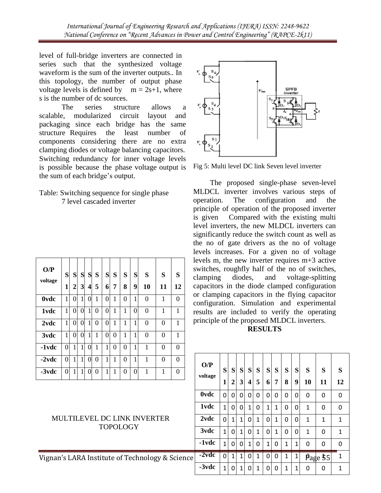level of full-bridge inverters are connected in series such that the synthesized voltage waveform is the sum of the inverter outputs.. In this topology, the number of output phase voltage levels is defined by  $m = 2s+1$ , where s is the number of dc sources.

The series structure allows a scalable, modularized circuit layout and packaging since each bridge has the same structure Requires the least number of components considering there are no extra clamping diodes or voltage balancing capacitors. Switching redundancy for inner voltage levels is possible because the phase voltage output is the sum of each bridge's output.

## Table: Switching sequence for single phase 7 level cascaded inverter

| O/P<br>voltage | S<br>1 | S<br>2       | S<br>$\overline{\mathbf{3}}$ | S<br>$\overline{\mathbf{4}}$ | S<br>5 | S<br>6         | S<br>7       | S<br>8   | S<br>9       | S<br>10        | S<br>11 | S<br>12        |
|----------------|--------|--------------|------------------------------|------------------------------|--------|----------------|--------------|----------|--------------|----------------|---------|----------------|
| <b>Ovdc</b>    | 1      | 0            | 1                            | 0                            | 1      | 0              | $\mathbf{1}$ | $\theta$ | $\mathbf{1}$ | $\overline{0}$ | 1       | $\overline{0}$ |
| 1vdc           | 1      | 0            | 0                            | 1                            | 0      | $\overline{0}$ | 1            | 1        | 0            | $\overline{0}$ | 1       | 1              |
| 2vdc           | 1      | 0            | $\Omega$                     | 1                            | 0      | 0              | 1            | 1        | 1            | $\overline{0}$ | 0       | 1              |
| 3vdc           | 1      | 0            | 0                            | 1                            | 1      | 0              | $\Omega$     | 1        | 1            | $\overline{0}$ | 0       | 1              |
| -1vdc          | 0      | 1            | 1                            | 0                            | 1      | 1              | 0            | $\theta$ | 1            | 1              | 0       | $\overline{0}$ |
| $-2$ vdc       | 0      | $\mathbf{1}$ | 1                            | 0                            | 0      | 1              | 1            | $\theta$ | 1            | 1              | 0       | $\overline{0}$ |
| -3vdc          | 0      | 1            | 1                            | 0                            | 0      | 1              | 1            | $\theta$ | 0            | 1              | 1       | $\overline{0}$ |

## MULTILEVEL DC LINK INVERTER TOPOLOGY



Fig 5: Multi level DC link Seven level inverter

The proposed single-phase seven-level MLDCL inverter involves various steps of operation. The configuration and the principle of operation of the proposed inverter is given Compared with the existing multi level inverters, the new MLDCL inverters can significantly reduce the switch count as well as the no of gate drivers as the no of voltage levels increases. For a given no of voltage levels m, the new inverter requires m+3 active switches, roughfly half of the no of switches, clamping diodes, and voltage-splitting capacitors in the diode clamped configuration or clamping capacitors in the flying capacitor configuration. Simulation and experimental results are included to verify the operating principle of the proposed MLDCL inverters.

**RESULTS**

| $-2$ vdc                                        | $\overline{0}$ | $\mathbf{1}$ | $\mathbf{1}$ | $\overline{0}$ | $\overline{0}$ | 1 |             | $\overline{0}$ |                | $\Omega$         | $\Omega$     |              | O/P            | S              |              |              |              |              |               |          |              |              |          |   |          |
|-------------------------------------------------|----------------|--------------|--------------|----------------|----------------|---|-------------|----------------|----------------|------------------|--------------|--------------|----------------|----------------|--------------|--------------|--------------|--------------|---------------|----------|--------------|--------------|----------|---|----------|
| $-3$ vdc                                        | $\overline{0}$ | $\mathbf{1}$ | 1            | $\overline{0}$ | $\overline{0}$ | 1 |             | $\mathbf{0}$   | $\overline{0}$ |                  | $\Omega$     |              | voltage        |                | S            | <sub>S</sub> | <sub>S</sub> | S            | S             | S        | S            | <sub>S</sub> | S        | S | S        |
|                                                 |                |              |              |                |                |   |             |                | 1              | $\boldsymbol{2}$ | $\mathbf{3}$ | 4            | 5              | 6 <sup>1</sup> | 7            | 8            | 9            | 10           | 11            | 12       |              |              |          |   |          |
|                                                 |                |              |              |                |                |   | <b>Ovdc</b> | $\mathbf 0$    | $\mathbf{0}$   | $\Omega$         | $\mathbf{0}$ | $\Omega$     | $\overline{0}$ | $\mathbf{0}$   | $\mathbf 0$  | $\Omega$     | $\Omega$     | 0            | $\Omega$      |          |              |              |          |   |          |
|                                                 |                |              |              |                |                |   | 1vdc        | $\mathbf{1}$   | $\Omega$       | $\Omega$         | 1            | $\Omega$     | 1              | 1              | $\Omega$     | $\Omega$     | $\mathbf{1}$ | $\mathbf{0}$ | $\Omega$      |          |              |              |          |   |          |
| <b>MULTILEVEL DC LINK INVERTER</b>              |                |              |              |                |                |   |             |                | 2vdc           | $\mathbf 0$      | $\mathbf{1}$ | $\mathbf{1}$ | $\mathbf 0$    | 1              | $\Omega$     | 1            | $\Omega$     | $\Omega$     | 1             | 1        | 1            |              |          |   |          |
| <b>TOPOLOGY</b>                                 |                |              |              |                |                |   |             | 3vdc           | $\mathbf{1}$   | $\Omega$         | $\mathbf{1}$ | $\mathbf{0}$ | 1              | $\Omega$       | $\mathbf{1}$ | $\Omega$     | $\Omega$     | 1            | 0             | 1        |              |              |          |   |          |
|                                                 |                |              |              |                |                |   |             |                |                |                  |              |              | $-1$ vdc       | $\mathbf{1}$   | $\Omega$     | $\Omega$     | 1            | $\Omega$     | $\mathbf{1}$  | $\Omega$ | $\mathbf{1}$ | $\mathbf{1}$ | $\Omega$ | 0 | $\Omega$ |
| Vignan's LARA Institute of Technology & Science |                |              |              |                |                |   |             | $-2$ vdc       | $\mathbf 0$    | $\mathbf{1}$     | $\mathbf{1}$ | $\Omega$     | $\mathbf{1}$   | 0              | $\Omega$     | $\mathbf{1}$ | $\mathbf{1}$ |              | $p_{age}$ \$5 | 1        |              |              |          |   |          |
|                                                 |                |              |              |                |                |   | $-3$ vdc    | 1              | $\Omega$       | $\mathbf{1}$     | $\mathbf{0}$ | 1            | $\Omega$       | $\Omega$       | $\mathbf{1}$ | 1            | $\Omega$     | 0            | 1             |          |              |              |          |   |          |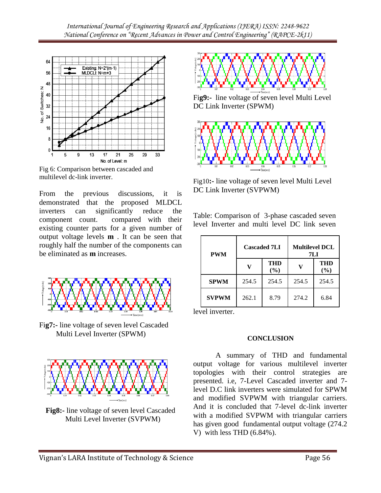

Fig 6: Comparison between cascaded and multilevel dc-link inverter.

From the previous discussions, it is demonstrated that the proposed MLDCL inverters can significantly reduce the component count. compared with their existing counter parts for a given number of output voltage levels **m** . It can be seen that roughly half the number of the components can be eliminated as **m** increases.



Fi**g7:-** line voltage of seven level Cascaded Multi Level Inverter (SPWM)



**Fig8:-** line voltage of seven level Cascaded Multi Level Inverter (SVPWM)



Fi**g9:-** line voltage of seven level Multi Level DC Link Inverter (SPWM)



Fig10**:-** line voltage of seven level Multi Level DC Link Inverter (SVPWM)

Table: Comparison of 3-phase cascaded seven level Inverter and multi level DC link seven

| <b>PWM</b>   |       | <b>Cascaded 7LI</b> | <b>Multilevel DCL</b><br>7L J |            |  |  |  |  |
|--------------|-------|---------------------|-------------------------------|------------|--|--|--|--|
|              |       | THD<br>$(\%)$       |                               | THD<br>(%) |  |  |  |  |
| <b>SPWM</b>  | 254.5 | 254.5               | 254.5                         | 254.5      |  |  |  |  |
| <b>SVPWM</b> | 262.1 | 8.79                | 274.2                         | 6.84       |  |  |  |  |

level inverter.

## **CONCLUSION**

A summary of THD and fundamental output voltage for various multilevel inverter topologies with their control strategies are presented. i.e, 7-Level Cascaded inverter and 7 level D.C link inverters were simulated for SPWM and modified SVPWM with triangular carriers. And it is concluded that 7-level dc-link inverter with a modified SVPWM with triangular carriers has given good fundamental output voltage (274.2 V) with less THD (6.84%).